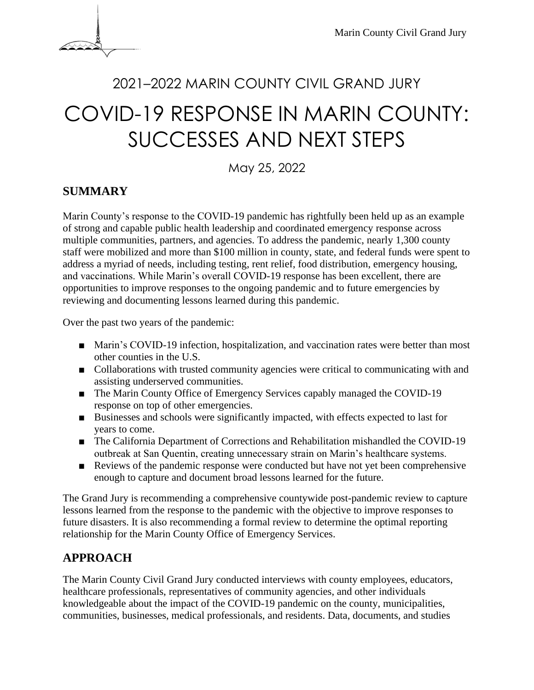

# <sup>2021</sup>–2022 MARIN COUNTY CIVIL GRAND JURY COVID-19 RESPONSE IN MARIN COUNTY: SUCCESSES AND NEXT STEPS

May 25, 2022

## **SUMMARY**

Marin County's response to the COVID-19 pandemic has rightfully been held up as an example of strong and capable public health leadership and coordinated emergency response across multiple communities, partners, and agencies. To address the pandemic, nearly 1,300 county staff were mobilized and more than \$100 million in county, state, and federal funds were spent to address a myriad of needs, including testing, rent relief, food distribution, emergency housing, and vaccinations. While Marin's overall COVID-19 response has been excellent, there are opportunities to improve responses to the ongoing pandemic and to future emergencies by reviewing and documenting lessons learned during this pandemic.

Over the past two years of the pandemic:

- Marin's COVID-19 infection, hospitalization, and vaccination rates were better than most other counties in the U.S.
- Collaborations with trusted community agencies were critical to communicating with and assisting underserved communities.
- The Marin County Office of Emergency Services capably managed the COVID-19 response on top of other emergencies.
- Businesses and schools were significantly impacted, with effects expected to last for years to come.
- The California Department of Corrections and Rehabilitation mishandled the COVID-19 outbreak at San Quentin, creating unnecessary strain on Marin's healthcare systems.
- Reviews of the pandemic response were conducted but have not yet been comprehensive enough to capture and document broad lessons learned for the future.

The Grand Jury is recommending a comprehensive countywide post-pandemic review to capture lessons learned from the response to the pandemic with the objective to improve responses to future disasters. It is also recommending a formal review to determine the optimal reporting relationship for the Marin County Office of Emergency Services.

## **APPROACH**

The Marin County Civil Grand Jury conducted interviews with county employees, educators, healthcare professionals, representatives of community agencies, and other individuals knowledgeable about the impact of the COVID-19 pandemic on the county, municipalities, communities, businesses, medical professionals, and residents. Data, documents, and studies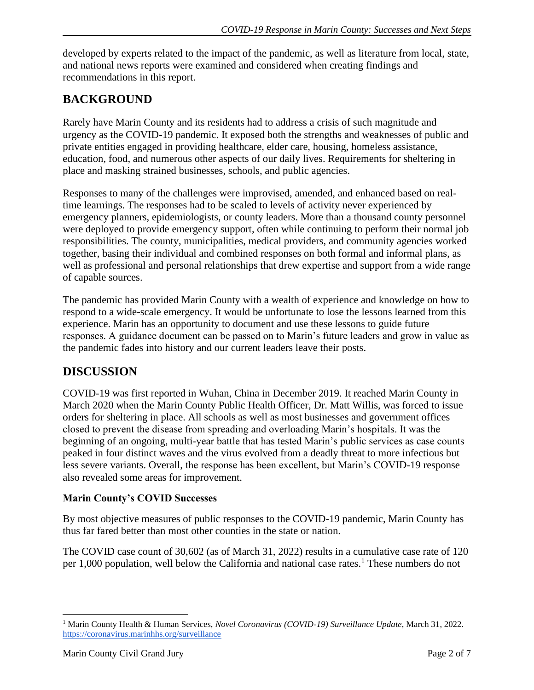developed by experts related to the impact of the pandemic, as well as literature from local, state, and national news reports were examined and considered when creating findings and recommendations in this report.

# **BACKGROUND**

Rarely have Marin County and its residents had to address a crisis of such magnitude and urgency as the COVID-19 pandemic. It exposed both the strengths and weaknesses of public and private entities engaged in providing healthcare, elder care, housing, homeless assistance, education, food, and numerous other aspects of our daily lives. Requirements for sheltering in place and masking strained businesses, schools, and public agencies.

Responses to many of the challenges were improvised, amended, and enhanced based on realtime learnings. The responses had to be scaled to levels of activity never experienced by emergency planners, epidemiologists, or county leaders. More than a thousand county personnel were deployed to provide emergency support, often while continuing to perform their normal job responsibilities. The county, municipalities, medical providers, and community agencies worked together, basing their individual and combined responses on both formal and informal plans, as well as professional and personal relationships that drew expertise and support from a wide range of capable sources.

The pandemic has provided Marin County with a wealth of experience and knowledge on how to respond to a wide-scale emergency. It would be unfortunate to lose the lessons learned from this experience. Marin has an opportunity to document and use these lessons to guide future responses. A guidance document can be passed on to Marin's future leaders and grow in value as the pandemic fades into history and our current leaders leave their posts.

# **DISCUSSION**

COVID-19 was first reported in Wuhan, China in December 2019. It reached Marin County in March 2020 when the Marin County Public Health Officer, Dr. Matt Willis, was forced to issue orders for sheltering in place. All schools as well as most businesses and government offices closed to prevent the disease from spreading and overloading Marin's hospitals. It was the beginning of an ongoing, multi-year battle that has tested Marin's public services as case counts peaked in four distinct waves and the virus evolved from a deadly threat to more infectious but less severe variants. Overall, the response has been excellent, but Marin's COVID-19 response also revealed some areas for improvement.

#### **Marin County's COVID Successes**

By most objective measures of public responses to the COVID-19 pandemic, Marin County has thus far fared better than most other counties in the state or nation.

The COVID case count of 30,602 (as of March 31, 2022) results in a cumulative case rate of 120 per 1,000 population, well below the California and national case rates.<sup>1</sup> These numbers do not

<sup>1</sup> Marin County Health & Human Services, *Novel Coronavirus (COVID-19) Surveillance Update*, March 31, 2022. <https://coronavirus.marinhhs.org/surveillance>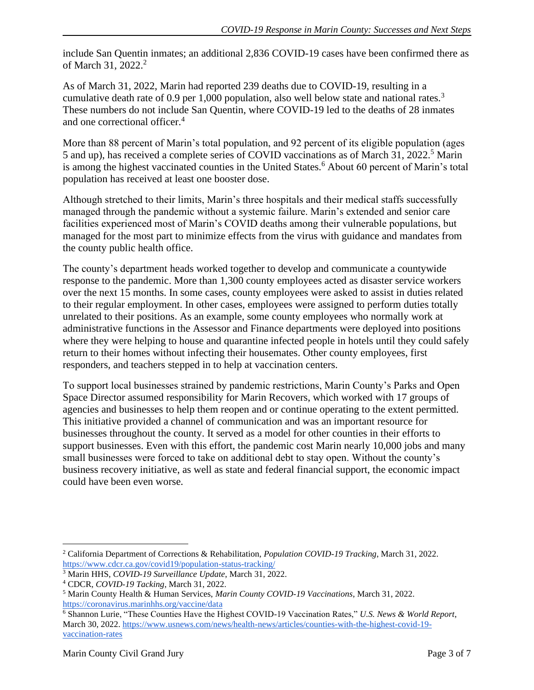include San Quentin inmates; an additional 2,836 COVID-19 cases have been confirmed there as of March 31, 2022.<sup>2</sup>

As of March 31, 2022, Marin had reported 239 deaths due to COVID-19, resulting in a cumulative death rate of 0.9 per 1,000 population, also well below state and national rates.<sup>3</sup> These numbers do not include San Quentin, where COVID-19 led to the deaths of 28 inmates and one correctional officer.<sup>4</sup>

More than 88 percent of Marin's total population, and 92 percent of its eligible population (ages 5 and up), has received a complete series of COVID vaccinations as of March 31, 2022.<sup>5</sup> Marin is among the highest vaccinated counties in the United States.<sup>6</sup> About 60 percent of Marin's total population has received at least one booster dose.

Although stretched to their limits, Marin's three hospitals and their medical staffs successfully managed through the pandemic without a systemic failure. Marin's extended and senior care facilities experienced most of Marin's COVID deaths among their vulnerable populations, but managed for the most part to minimize effects from the virus with guidance and mandates from the county public health office.

The county's department heads worked together to develop and communicate a countywide response to the pandemic. More than 1,300 county employees acted as disaster service workers over the next 15 months. In some cases, county employees were asked to assist in duties related to their regular employment. In other cases, employees were assigned to perform duties totally unrelated to their positions. As an example, some county employees who normally work at administrative functions in the Assessor and Finance departments were deployed into positions where they were helping to house and quarantine infected people in hotels until they could safely return to their homes without infecting their housemates. Other county employees, first responders, and teachers stepped in to help at vaccination centers.

To support local businesses strained by pandemic restrictions, Marin County's Parks and Open Space Director assumed responsibility for Marin Recovers, which worked with 17 groups of agencies and businesses to help them reopen and or continue operating to the extent permitted. This initiative provided a channel of communication and was an important resource for businesses throughout the county. It served as a model for other counties in their efforts to support businesses. Even with this effort, the pandemic cost Marin nearly 10,000 jobs and many small businesses were forced to take on additional debt to stay open. Without the county's business recovery initiative, as well as state and federal financial support, the economic impact could have been even worse.

<sup>2</sup> California Department of Corrections & Rehabilitation, *Population COVID-19 Tracking*, March 31, 2022. <https://www.cdcr.ca.gov/covid19/population-status-tracking/>

<sup>3</sup> Marin HHS, *COVID-19 Surveillance Update*, March 31, 2022.

<sup>4</sup> CDCR, *COVID-19 Tacking*, March 31, 2022.

<sup>5</sup> Marin County Health & Human Services, *Marin County COVID-19 Vaccinations*, March 31, 2022. <https://coronavirus.marinhhs.org/vaccine/data>

<sup>6</sup> Shannon Lurie, "These Counties Have the Highest COVID-19 Vaccination Rates," *U.S. News & World Report*, March 30, 2022[. https://www.usnews.com/news/health-news/articles/counties-with-the-highest-covid-19](https://www.usnews.com/news/health-news/articles/counties-with-the-highest-covid-19-vaccination-rates) [vaccination-rates](https://www.usnews.com/news/health-news/articles/counties-with-the-highest-covid-19-vaccination-rates)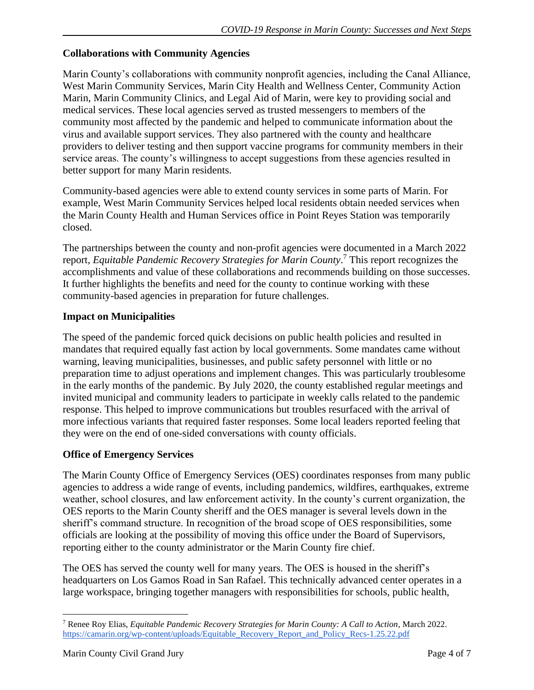#### **Collaborations with Community Agencies**

Marin County's collaborations with community nonprofit agencies, including the Canal Alliance, West Marin Community Services, Marin City Health and Wellness Center, Community Action Marin, Marin Community Clinics, and Legal Aid of Marin, were key to providing social and medical services. These local agencies served as trusted messengers to members of the community most affected by the pandemic and helped to communicate information about the virus and available support services. They also partnered with the county and healthcare providers to deliver testing and then support vaccine programs for community members in their service areas. The county's willingness to accept suggestions from these agencies resulted in better support for many Marin residents.

Community-based agencies were able to extend county services in some parts of Marin. For example, West Marin Community Services helped local residents obtain needed services when the Marin County Health and Human Services office in Point Reyes Station was temporarily closed.

The partnerships between the county and non-profit agencies were documented in a March 2022 report, *Equitable Pandemic Recovery Strategies for Marin County*. <sup>7</sup> This report recognizes the accomplishments and value of these collaborations and recommends building on those successes. It further highlights the benefits and need for the county to continue working with these community-based agencies in preparation for future challenges.

#### **Impact on Municipalities**

The speed of the pandemic forced quick decisions on public health policies and resulted in mandates that required equally fast action by local governments. Some mandates came without warning, leaving municipalities, businesses, and public safety personnel with little or no preparation time to adjust operations and implement changes. This was particularly troublesome in the early months of the pandemic. By July 2020, the county established regular meetings and invited municipal and community leaders to participate in weekly calls related to the pandemic response. This helped to improve communications but troubles resurfaced with the arrival of more infectious variants that required faster responses. Some local leaders reported feeling that they were on the end of one-sided conversations with county officials.

#### **Office of Emergency Services**

The Marin County Office of Emergency Services (OES) coordinates responses from many public agencies to address a wide range of events, including pandemics, wildfires, earthquakes, extreme weather, school closures, and law enforcement activity. In the county's current organization, the OES reports to the Marin County sheriff and the OES manager is several levels down in the sheriff's command structure. In recognition of the broad scope of OES responsibilities, some officials are looking at the possibility of moving this office under the Board of Supervisors, reporting either to the county administrator or the Marin County fire chief.

The OES has served the county well for many years. The OES is housed in the sheriff's headquarters on Los Gamos Road in San Rafael. This technically advanced center operates in a large workspace, bringing together managers with responsibilities for schools, public health,

<sup>7</sup> Renee Roy Elias, *Equitable Pandemic Recovery Strategies for Marin County: A Call to Action*, March 2022. [https://camarin.org/wp-content/uploads/Equitable\\_Recovery\\_Report\\_and\\_Policy\\_Recs-1.25.22.pdf](https://camarin.org/wp-content/uploads/Equitable_Recovery_Report_and_Policy_Recs-1.25.22.pdf)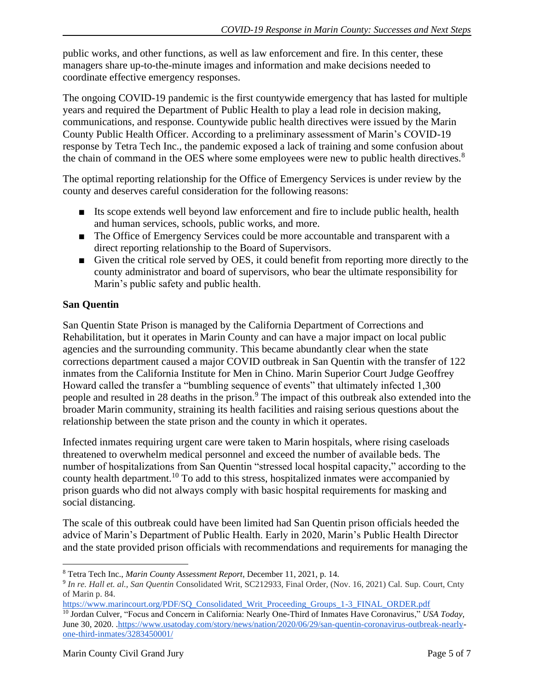public works, and other functions, as well as law enforcement and fire. In this center, these managers share up-to-the-minute images and information and make decisions needed to coordinate effective emergency responses.

The ongoing COVID-19 pandemic is the first countywide emergency that has lasted for multiple years and required the Department of Public Health to play a lead role in decision making, communications, and response. Countywide public health directives were issued by the Marin County Public Health Officer. According to a preliminary assessment of Marin's COVID-19 response by Tetra Tech Inc., the pandemic exposed a lack of training and some confusion about the chain of command in the OES where some employees were new to public health directives.<sup>8</sup>

The optimal reporting relationship for the Office of Emergency Services is under review by the county and deserves careful consideration for the following reasons:

- Its scope extends well beyond law enforcement and fire to include public health, health and human services, schools, public works, and more.
- The Office of Emergency Services could be more accountable and transparent with a direct reporting relationship to the Board of Supervisors.
- Given the critical role served by OES, it could benefit from reporting more directly to the county administrator and board of supervisors, who bear the ultimate responsibility for Marin's public safety and public health.

#### **San Quentin**

San Quentin State Prison is managed by the California Department of Corrections and Rehabilitation, but it operates in Marin County and can have a major impact on local public agencies and the surrounding community. This became abundantly clear when the state corrections department caused a major COVID outbreak in San Quentin with the transfer of 122 inmates from the California Institute for Men in Chino. Marin Superior Court Judge Geoffrey Howard called the transfer a "bumbling sequence of events" that ultimately infected 1,300 people and resulted in 28 deaths in the prison.<sup>9</sup> The impact of this outbreak also extended into the broader Marin community, straining its health facilities and raising serious questions about the relationship between the state prison and the county in which it operates.

Infected inmates requiring urgent care were taken to Marin hospitals, where rising caseloads threatened to overwhelm medical personnel and exceed the number of available beds. The number of hospitalizations from San Quentin "stressed local hospital capacity," according to the county health department.<sup>10</sup> To add to this stress, hospitalized inmates were accompanied by prison guards who did not always comply with basic hospital requirements for masking and social distancing.

The scale of this outbreak could have been limited had San Quentin prison officials heeded the advice of Marin's Department of Public Health. Early in 2020, Marin's Public Health Director and the state provided prison officials with recommendations and requirements for managing the

<sup>8</sup> Tetra Tech Inc., *Marin County Assessment Report*, December 11, 2021, p. 14.

<sup>9</sup> *In re. Hall et. al., San Quentin* Consolidated Writ, SC212933, Final Order, (Nov. 16, 2021) Cal. Sup. Court, Cnty of Marin p. 84.

[https://www.marincourt.org/PDF/SQ\\_Consolidated\\_Writ\\_Proceeding\\_Groups\\_1-3\\_FINAL\\_ORDER.pdf](https://www.marincourt.org/PDF/SQ_Consolidated_Writ_Proceeding_Groups_1-3_FINAL_ORDER.pdf)

<sup>10</sup> Jordan Culver*,* "Focus and Concern in California: Nearly One-Third of Inmates Have Coronavirus," *USA Today,*  June 30, 2020. [.https://www.usatoday.com/story/news/nation/2020/06/29/san-quentin-coronavirus-outbreak-nearly](https://www.usatoday.com/story/news/nation/2020/06/29/san-quentin-coronavirus-outbreak-nearly-one-third-inmates/3283450001/)[one-third-inmates/3283450001/](https://www.usatoday.com/story/news/nation/2020/06/29/san-quentin-coronavirus-outbreak-nearly-one-third-inmates/3283450001/)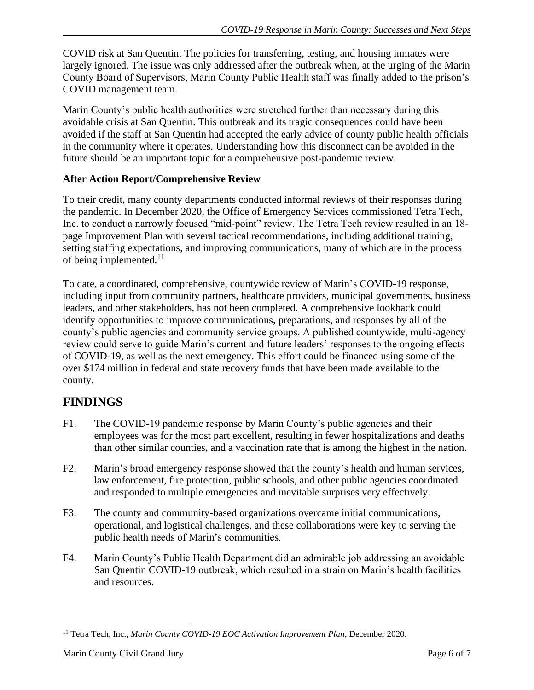COVID risk at San Quentin. The policies for transferring, testing, and housing inmates were largely ignored. The issue was only addressed after the outbreak when, at the urging of the Marin County Board of Supervisors, Marin County Public Health staff was finally added to the prison's COVID management team.

Marin County's public health authorities were stretched further than necessary during this avoidable crisis at San Quentin. This outbreak and its tragic consequences could have been avoided if the staff at San Quentin had accepted the early advice of county public health officials in the community where it operates. Understanding how this disconnect can be avoided in the future should be an important topic for a comprehensive post-pandemic review.

#### **After Action Report/Comprehensive Review**

To their credit, many county departments conducted informal reviews of their responses during the pandemic. In December 2020, the Office of Emergency Services commissioned Tetra Tech, Inc. to conduct a narrowly focused "mid-point" review. The Tetra Tech review resulted in an 18 page Improvement Plan with several tactical recommendations, including additional training, setting staffing expectations, and improving communications, many of which are in the process of being implemented. $^{11}$ 

To date, a coordinated, comprehensive, countywide review of Marin's COVID-19 response, including input from community partners, healthcare providers, municipal governments, business leaders, and other stakeholders, has not been completed. A comprehensive lookback could identify opportunities to improve communications, preparations, and responses by all of the county's public agencies and community service groups. A published countywide, multi-agency review could serve to guide Marin's current and future leaders' responses to the ongoing effects of COVID-19, as well as the next emergency. This effort could be financed using some of the over \$174 million in federal and state recovery funds that have been made available to the county.

# **FINDINGS**

- F1. The COVID-19 pandemic response by Marin County's public agencies and their employees was for the most part excellent, resulting in fewer hospitalizations and deaths than other similar counties, and a vaccination rate that is among the highest in the nation.
- F2. Marin's broad emergency response showed that the county's health and human services, law enforcement, fire protection, public schools, and other public agencies coordinated and responded to multiple emergencies and inevitable surprises very effectively.
- F3. The county and community-based organizations overcame initial communications, operational, and logistical challenges, and these collaborations were key to serving the public health needs of Marin's communities.
- F4. Marin County's Public Health Department did an admirable job addressing an avoidable San Quentin COVID-19 outbreak, which resulted in a strain on Marin's health facilities and resources.

<sup>11</sup> Tetra Tech, Inc., *Marin County COVID-19 EOC Activation Improvement Plan*, December 2020.